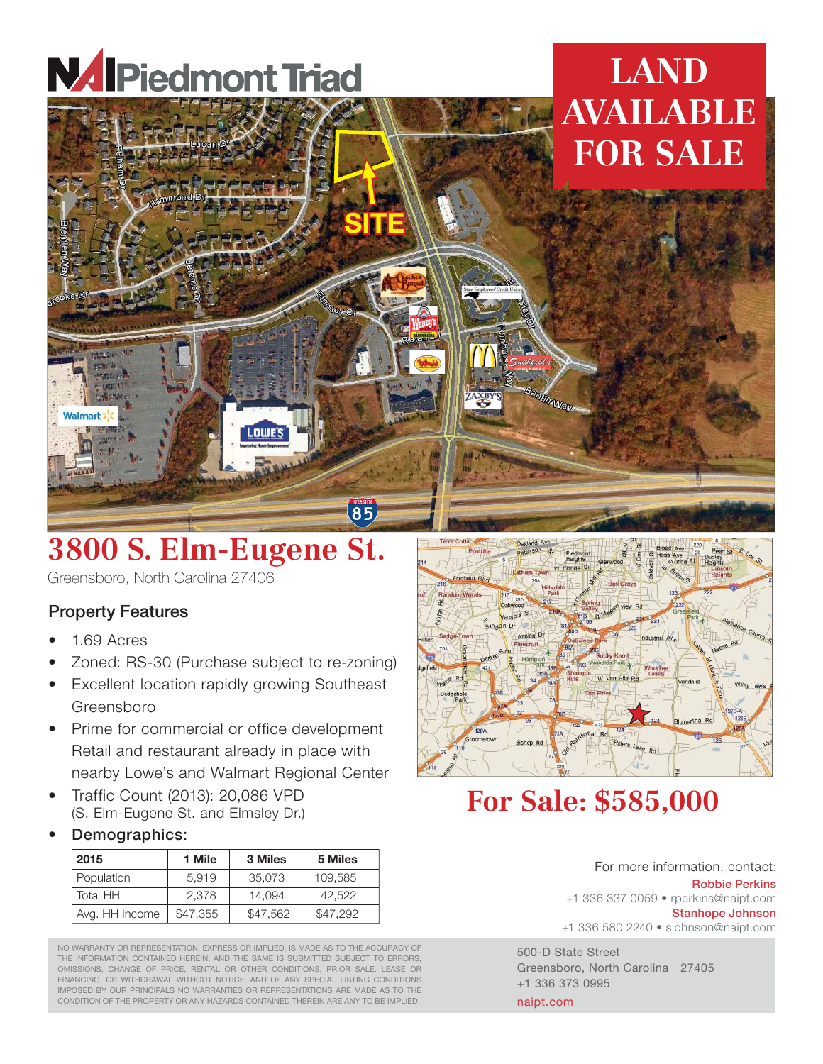

SITE

85

## **LAND<br>AVAILABLE FOR SALE FOR SALE**

**3800 St. Elmarch St. 2000**<br>Greensboro, North Carolina 27406

## Property Features

- 1.69 Acres
- Zoned: RS-30 (Purchase subject to re-zoning)
- Excellent location rapidly growing Southeast Greensboro
- Prime for commercial or office development Retail and restaurant already in place with nearby Lowe's and Walmart Regional Center
- Traffic Count (2013): 20,086 VPD (S. Elm-Eugene St. and Elmsley Dr.)
- Demographics:

| 2015            | 1 Mile   | 3 Miles  | 5 Miles  |
|-----------------|----------|----------|----------|
| Population      | 5.919    | 35,073   | 109.585  |
| <b>Total HH</b> | 2.378    | 14.094   | 42,522   |
| Avg. HH Income  | \$47,355 | \$47,562 | \$47,292 |

NO WARRANTY OR REPRESENTATION, EXPRESS OR IMPLIED, IS MADE AS TO THE ACCURACY OF THE INFORMATION CONTAINED HEREIN, AND THE SAME IS SUBMITTED SUBJECT TO ERRORS, OMISSIONS, CHANGE OF PRICE, RENTAL OR OTHER CONDITIONS, PRIOR SALE, LEASE OR FINANCING, OR WITHDRAWAL WITHOUT NOTICE, AND OF ANY SPECIAL LISTING CONDITIONS IMPOSED BY OUR PRINCIPALS NO WARRANTIES OR REPRESENTATIONS ARE MADE AS TO THE CONDITION OF THE PROPERTY OR ANY HAZARDS CONTAINED THEREIN ARE ANY TO BE IMPLIED.



tir Way

## **For Sale: \$585,000**

For more information, contact: Robbie Perkins +1 336 337 0059 • rperkins@naipt.com Stanhope Johnson +1 336 580 2240 • sjohnson@naipt.com

500-D State Street Greensboro, North Carolina 27405 +1 336 373 0995 naipt.com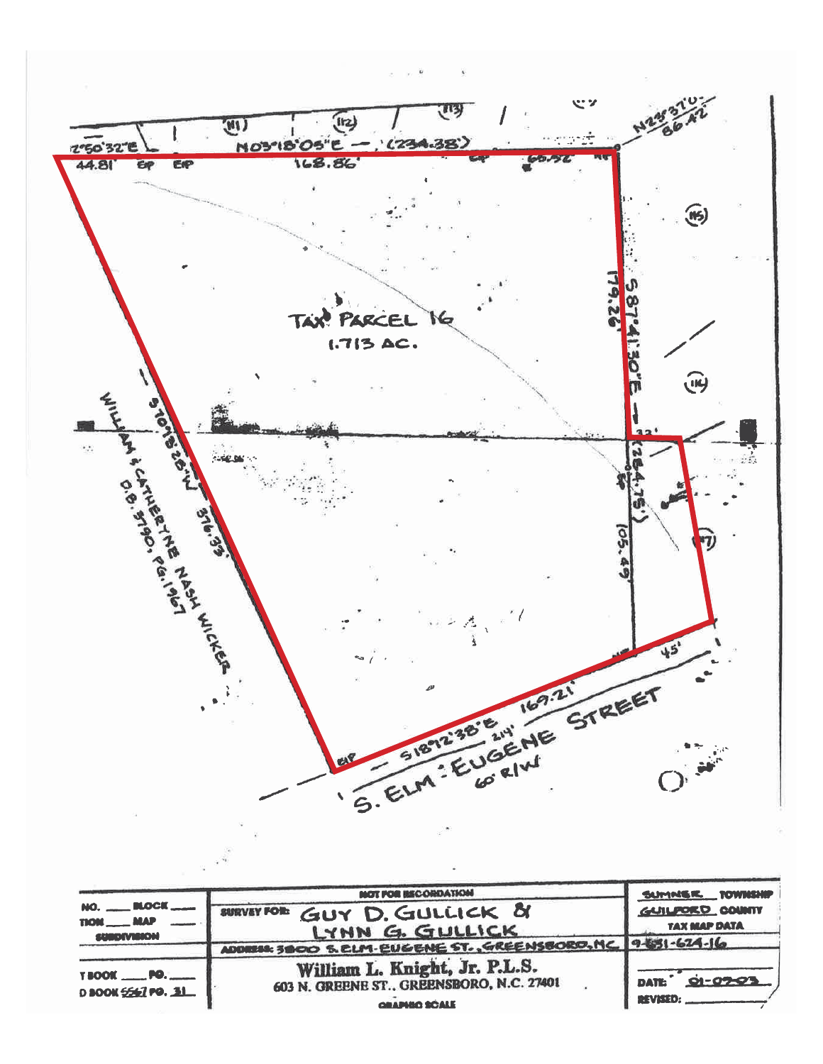

|                                                | MOT FOR RECORDATION                                                                                | SUMMER. TOWNSHIP                       |
|------------------------------------------------|----------------------------------------------------------------------------------------------------|----------------------------------------|
| NO. MOCK<br>TION ___ MAP<br><b>SUBDIVISION</b> | SURVEY FOR GUY D. GULLICK OF<br>LYNN G. GULLICK                                                    | GUILPORD COUNTY<br><b>TAX MAP DATA</b> |
|                                                | ADDRESS: 3800 S. ELM-EUGENE ST., GREENSBORO, MC 9-831-624-16                                       |                                        |
| <b>TBOOK</b> _____PO.<br>D BOOK 5567 PO. 31    | William L. Knight, Jr. P.L.S.<br>603 N. GREENE ST., GREENSBORO, N.C. 27401<br><b>GRAPHIC SCALE</b> | DATE 01-07-03<br><b>REVISED:</b>       |